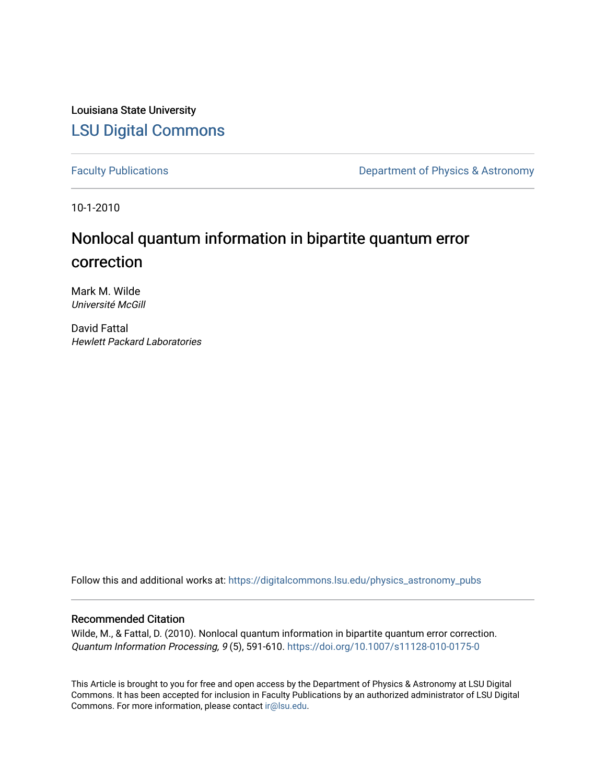Louisiana State University [LSU Digital Commons](https://digitalcommons.lsu.edu/)

[Faculty Publications](https://digitalcommons.lsu.edu/physics_astronomy_pubs) **Exercise 2** Constant Department of Physics & Astronomy

10-1-2010

# Nonlocal quantum information in bipartite quantum error correction

Mark M. Wilde Université McGill

David Fattal Hewlett Packard Laboratories

Follow this and additional works at: [https://digitalcommons.lsu.edu/physics\\_astronomy\\_pubs](https://digitalcommons.lsu.edu/physics_astronomy_pubs?utm_source=digitalcommons.lsu.edu%2Fphysics_astronomy_pubs%2F5756&utm_medium=PDF&utm_campaign=PDFCoverPages) 

## Recommended Citation

Wilde, M., & Fattal, D. (2010). Nonlocal quantum information in bipartite quantum error correction. Quantum Information Processing, 9 (5), 591-610.<https://doi.org/10.1007/s11128-010-0175-0>

This Article is brought to you for free and open access by the Department of Physics & Astronomy at LSU Digital Commons. It has been accepted for inclusion in Faculty Publications by an authorized administrator of LSU Digital Commons. For more information, please contact [ir@lsu.edu](mailto:ir@lsu.edu).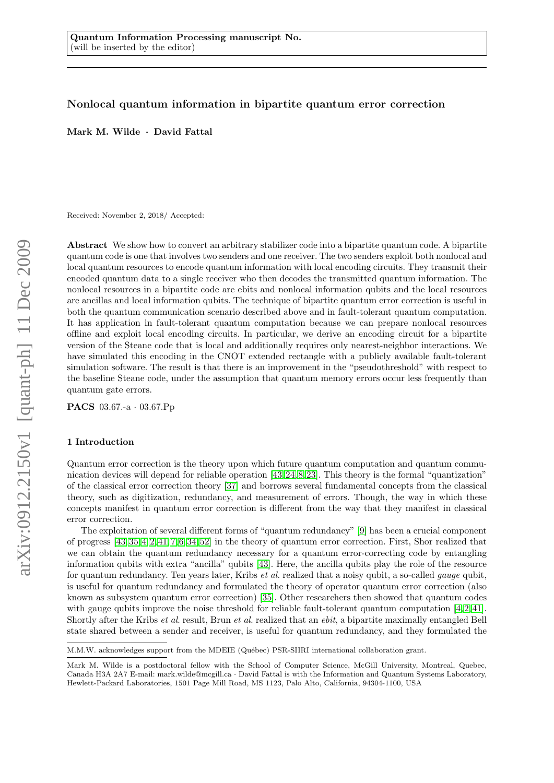## Nonlocal quantum information in bipartite quantum error correction

Mark M. Wilde · David Fattal

Received: November 2, 2018/ Accepted:

Abstract We show how to convert an arbitrary stabilizer code into a bipartite quantum code. A bipartite quantum code is one that involves two senders and one receiver. The two senders exploit both nonlocal and local quantum resources to encode quantum information with local encoding circuits. They transmit their encoded quantum data to a single receiver who then decodes the transmitted quantum information. The nonlocal resources in a bipartite code are ebits and nonlocal information qubits and the local resources are ancillas and local information qubits. The technique of bipartite quantum error correction is useful in both the quantum communication scenario described above and in fault-tolerant quantum computation. It has application in fault-tolerant quantum computation because we can prepare nonlocal resources offline and exploit local encoding circuits. In particular, we derive an encoding circuit for a bipartite version of the Steane code that is local and additionally requires only nearest-neighbor interactions. We have simulated this encoding in the CNOT extended rectangle with a publicly available fault-tolerant simulation software. The result is that there is an improvement in the "pseudothreshold" with respect to the baseline Steane code, under the assumption that quantum memory errors occur less frequently than quantum gate errors.

PACS 03.67.-a · 03.67.Pp

### 1 Introduction

Quantum error correction is the theory upon which future quantum computation and quantum communication devices will depend for reliable operation [\[43,](#page-14-0) [24,](#page-13-0) [8,](#page-13-1) [23\]](#page-13-2). This theory is the formal "quantization" of the classical error correction theory [\[37\]](#page-14-1) and borrows several fundamental concepts from the classical theory, such as digitization, redundancy, and measurement of errors. Though, the way in which these concepts manifest in quantum error correction is different from the way that they manifest in classical error correction.

The exploitation of several different forms of "quantum redundancy" [\[9\]](#page-13-3) has been a crucial component of progress [\[43,](#page-14-0) [35,](#page-14-2) [4,](#page-13-4) [2,](#page-13-5) [41,](#page-14-3) [7,](#page-13-6) [6,](#page-13-7) [34,](#page-14-4) [52\]](#page-14-5) in the theory of quantum error correction. First, Shor realized that we can obtain the quantum redundancy necessary for a quantum error-correcting code by entangling information qubits with extra "ancilla" qubits [\[43\]](#page-14-0). Here, the ancilla qubits play the role of the resource for quantum redundancy. Ten years later, Kribs et al. realized that a noisy qubit, a so-called gauge qubit, is useful for quantum redundancy and formulated the theory of operator quantum error correction (also known as subsystem quantum error correction) [\[35\]](#page-14-2). Other researchers then showed that quantum codes with gauge qubits improve the noise threshold for reliable fault-tolerant quantum computation [\[4,](#page-13-4) [2,](#page-13-5) [41\]](#page-14-3). Shortly after the Kribs et al. result, Brun et al. realized that an ebit, a bipartite maximally entangled Bell state shared between a sender and receiver, is useful for quantum redundancy, and they formulated the

M.M.W. acknowledges support from the MDEIE (Québec) PSR-SIIRI international collaboration grant.

Mark M. Wilde is a postdoctoral fellow with the School of Computer Science, McGill University, Montreal, Quebec, Canada H3A 2A7 E-mail: mark.wilde@mcgill.ca · David Fattal is with the Information and Quantum Systems Laboratory, Hewlett-Packard Laboratories, 1501 Page Mill Road, MS 1123, Palo Alto, California, 94304-1100, USA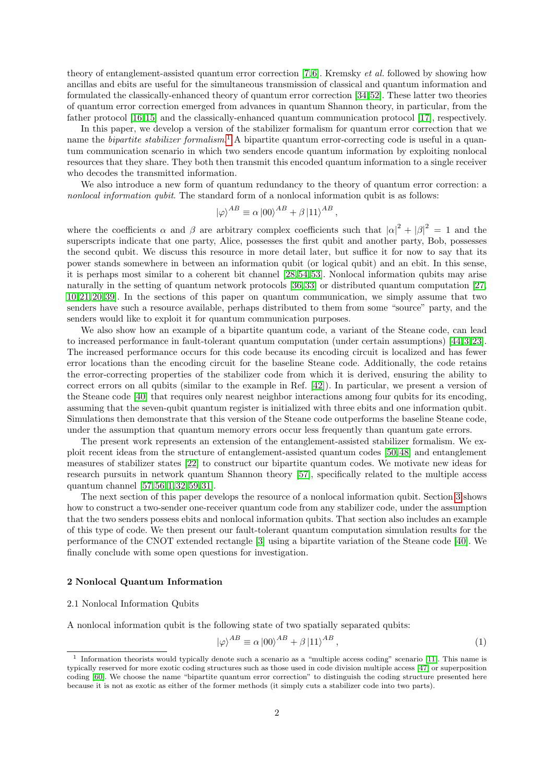theory of entanglement-assisted quantum error correction [\[7,](#page-13-6) [6\]](#page-13-7). Kremsky et al. followed by showing how ancillas and ebits are useful for the simultaneous transmission of classical and quantum information and formulated the classically-enhanced theory of quantum error correction [\[34,](#page-14-4) [52\]](#page-14-5). These latter two theories of quantum error correction emerged from advances in quantum Shannon theory, in particular, from the father protocol [\[16,](#page-13-8) [15\]](#page-13-9) and the classically-enhanced quantum communication protocol [\[17\]](#page-13-10), respectively.

In this paper, we develop a version of the stabilizer formalism for quantum error correction that we name the *bipartite stabilizer formalism*.<sup>[1](#page-2-0)</sup> A bipartite quantum error-correcting code is useful in a quantum communication scenario in which two senders encode quantum information by exploiting nonlocal resources that they share. They both then transmit this encoded quantum information to a single receiver who decodes the transmitted information.

We also introduce a new form of quantum redundancy to the theory of quantum error correction: a nonlocal information qubit. The standard form of a nonlocal information qubit is as follows:

$$
|\varphi\rangle^{AB} \equiv \alpha |00\rangle^{AB} + \beta |11\rangle^{AB},
$$

where the coefficients  $\alpha$  and  $\beta$  are arbitrary complex coefficients such that  $|\alpha|^2 + |\beta|^2 = 1$  and the superscripts indicate that one party, Alice, possesses the first qubit and another party, Bob, possesses the second qubit. We discuss this resource in more detail later, but suffice it for now to say that its power stands somewhere in between an information qubit (or logical qubit) and an ebit. In this sense, it is perhaps most similar to a coherent bit channel [\[28,](#page-14-6) [54,](#page-14-7) [53\]](#page-14-8). Nonlocal information qubits may arise naturally in the setting of quantum network protocols [\[36,](#page-14-9)33] or distributed quantum computation [\[27,](#page-14-11) [10,](#page-13-11) [21,](#page-13-12) [20,](#page-13-13) [39\]](#page-14-12). In the sections of this paper on quantum communication, we simply assume that two senders have such a resource available, perhaps distributed to them from some "source" party, and the senders would like to exploit it for quantum communication purposes.

We also show how an example of a bipartite quantum code, a variant of the Steane code, can lead to increased performance in fault-tolerant quantum computation (under certain assumptions) [\[44,](#page-14-13) [3,](#page-13-14) [23\]](#page-13-2). The increased performance occurs for this code because its encoding circuit is localized and has fewer error locations than the encoding circuit for the baseline Steane code. Additionally, the code retains the error-correcting properties of the stabilizer code from which it is derived, ensuring the ability to correct errors on all qubits (similar to the example in Ref. [\[42\]](#page-14-14)). In particular, we present a version of the Steane code [\[40\]](#page-14-15) that requires only nearest neighbor interactions among four qubits for its encoding, assuming that the seven-qubit quantum register is initialized with three ebits and one information qubit. Simulations then demonstrate that this version of the Steane code outperforms the baseline Steane code, under the assumption that quantum memory errors occur less frequently than quantum gate errors.

The present work represents an extension of the entanglement-assisted stabilizer formalism. We exploit recent ideas from the structure of entanglement-assisted quantum codes [\[50,](#page-14-16) [48\]](#page-14-17) and entanglement measures of stabilizer states [\[22\]](#page-13-15) to construct our bipartite quantum codes. We motivate new ideas for research pursuits in network quantum Shannon theory [\[57\]](#page-14-18), specifically related to the multiple access quantum channel [\[57,](#page-14-18) [56,](#page-14-19) [1,](#page-13-16) [32,](#page-14-20) [59,](#page-14-21) [31\]](#page-14-22).

The next section of this paper develops the resource of a nonlocal information qubit. Section [3](#page-5-0) shows how to construct a two-sender one-receiver quantum code from any stabilizer code, under the assumption that the two senders possess ebits and nonlocal information qubits. That section also includes an example of this type of code. We then present our fault-tolerant quantum computation simulation results for the performance of the CNOT extended rectangle [\[3\]](#page-13-14) using a bipartite variation of the Steane code [\[40\]](#page-14-15). We finally conclude with some open questions for investigation.

## 2 Nonlocal Quantum Information

#### <span id="page-2-2"></span>2.1 Nonlocal Information Qubits

A nonlocal information qubit is the following state of two spatially separated qubits:

<span id="page-2-1"></span>
$$
|\varphi\rangle^{AB} \equiv \alpha |00\rangle^{AB} + \beta |11\rangle^{AB}, \qquad (1)
$$

<span id="page-2-0"></span><sup>1</sup> Information theorists would typically denote such a scenario as a "multiple access coding" scenario [\[11\]](#page-13-17). This name is typically reserved for more exotic coding structures such as those used in code division multiple access [\[47\]](#page-14-23) or superposition coding [\[60\]](#page-14-24). We choose the name "bipartite quantum error correction" to distinguish the coding structure presented here because it is not as exotic as either of the former methods (it simply cuts a stabilizer code into two parts).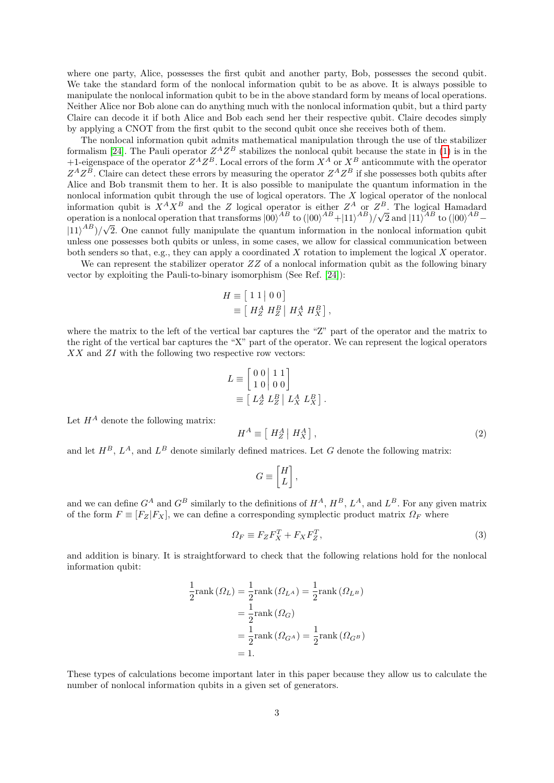where one party, Alice, possesses the first qubit and another party, Bob, possesses the second qubit. We take the standard form of the nonlocal information qubit to be as above. It is always possible to manipulate the nonlocal information qubit to be in the above standard form by means of local operations. Neither Alice nor Bob alone can do anything much with the nonlocal information qubit, but a third party Claire can decode it if both Alice and Bob each send her their respective qubit. Claire decodes simply by applying a CNOT from the first qubit to the second qubit once she receives both of them.

The nonlocal information qubit admits mathematical manipulation through the use of the stabilizer formalism [\[24\]](#page-13-0). The Pauli operator  $Z^A Z^B$  stabilizes the nonlocal qubit because the state in [\(1\)](#page-2-1) is in the +1-eigenspace of the operator  $Z^A Z^B$ . Local errors of the form  $X^A$  or  $X^B$  anticommute with the operator  $Z^A Z^B$ . Claire can detect these errors by measuring the operator  $Z^A Z^B$  if she possesses both qubits after Alice and Bob transmit them to her. It is also possible to manipulate the quantum information in the nonlocal information qubit through the use of logical operators. The X logical operator of the nonlocal information qubit is  $X^A X^B$  and the Z logical operator is either  $Z^A$  or  $Z^B$ . The logical Hamadard operation is a nonlocal operation that transforms  $|00\rangle^{AB}$  to  $(|00\rangle^{AB}+|11\rangle^{AB})/\sqrt{2}$  and  $|11\rangle^{AB}$  to  $(|00\rangle^{AB}$  $|11\rangle^{AB})/\sqrt{2}$ . One cannot fully manipulate the quantum information in the nonlocal information qubit unless one possesses both qubits or unless, in some cases, we allow for classical communication between both senders so that, e.g., they can apply a coordinated X rotation to implement the logical X operator.

We can represent the stabilizer operator  $ZZ$  of a nonlocal information qubit as the following binary vector by exploiting the Pauli-to-binary isomorphism (See Ref. [\[24\]](#page-13-0)):

$$
H \equiv \left[ 1 \ 1 \mid 0 \ 0 \right]
$$
  

$$
\equiv \left[ H_Z^A H_Z^B \mid H_X^A H_X^B \right],
$$

where the matrix to the left of the vertical bar captures the "Z" part of the operator and the matrix to the right of the vertical bar captures the "X" part of the operator. We can represent the logical operators  $XX$  and  $ZI$  with the following two respective row vectors:

$$
L \equiv \begin{bmatrix} 0 & 0 & 1 & 1 \\ 1 & 0 & 0 & 0 \end{bmatrix}
$$
  

$$
\equiv \begin{bmatrix} L_Z^A & L_Z^B & | & L_X^A & L_X^B \end{bmatrix}.
$$

Let  $H^A$  denote the following matrix:

<span id="page-3-0"></span>
$$
H^A \equiv \left[ \ H_Z^A \, \middle| \, H_X^A \right],\tag{2}
$$

and let  $H^B$ ,  $L^A$ , and  $L^B$  denote similarly defined matrices. Let G denote the following matrix:

$$
G \equiv \begin{bmatrix} H \\ L \end{bmatrix},
$$

and we can define  $G^A$  and  $G^B$  similarly to the definitions of  $H^A$ ,  $H^B$ ,  $L^A$ , and  $L^B$ . For any given matrix of the form  $F \equiv [F_Z|F_X]$ , we can define a corresponding symplectic product matrix  $\Omega_F$  where

<span id="page-3-1"></span>
$$
\Omega_F \equiv F_Z F_X^T + F_X F_Z^T,\tag{3}
$$

and addition is binary. It is straightforward to check that the following relations hold for the nonlocal information qubit:

$$
\frac{1}{2}\text{rank}(\Omega_L) = \frac{1}{2}\text{rank}(\Omega_{L^A}) = \frac{1}{2}\text{rank}(\Omega_{L^B})
$$

$$
= \frac{1}{2}\text{rank}(\Omega_G)
$$

$$
= \frac{1}{2}\text{rank}(\Omega_{G^A}) = \frac{1}{2}\text{rank}(\Omega_{G^B})
$$

$$
= 1.
$$

These types of calculations become important later in this paper because they allow us to calculate the number of nonlocal information qubits in a given set of generators.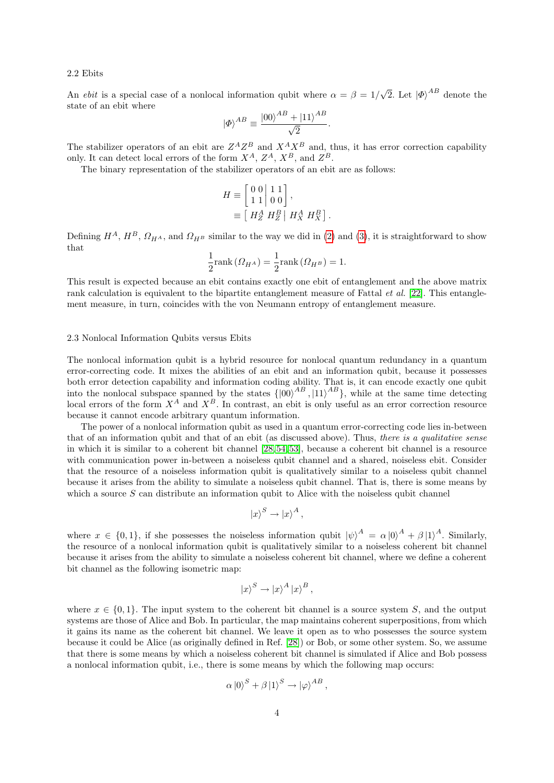#### 2.2 Ebits

An *ebit* is a special case of a nonlocal information qubit where  $\alpha = \beta = 1/\sqrt{2}$ . Let  $|\phi\rangle^{AB}$  denote the state of an ebit where

$$
\left| \varPhi \right\rangle ^{AB}\equiv \frac{\left| 00\right\rangle ^{AB}+\left| 11\right\rangle ^{AB}}{\sqrt{2}}.
$$

The stabilizer operators of an ebit are  $Z^A Z^B$  and  $X^A X^B$  and, thus, it has error correction capability only. It can detect local errors of the form  $X^A$ ,  $Z^A$ ,  $X^B$ , and  $Z^B$ .

The binary representation of the stabilizer operators of an ebit are as follows:

$$
H \equiv \begin{bmatrix} 0 & 0 & 1 & 1 \\ 1 & 1 & 0 & 0 \end{bmatrix},
$$
  

$$
\equiv \begin{bmatrix} H_2^A & H_2^B & H_X^A & H_X^B \end{bmatrix}.
$$

Defining  $H^A$ ,  $H^B$ ,  $\Omega_{H^A}$ , and  $\Omega_{H^B}$  similar to the way we did in [\(2\)](#page-3-0) and [\(3\)](#page-3-1), it is straightforward to show that

$$
\frac{1}{2}\text{rank}\left(\Omega_{H^A}\right) = \frac{1}{2}\text{rank}\left(\Omega_{H^B}\right) = 1.
$$

This result is expected because an ebit contains exactly one ebit of entanglement and the above matrix rank calculation is equivalent to the bipartite entanglement measure of Fattal  $et al.$  [\[22\]](#page-13-15). This entanglement measure, in turn, coincides with the von Neumann entropy of entanglement measure.

#### 2.3 Nonlocal Information Qubits versus Ebits

The nonlocal information qubit is a hybrid resource for nonlocal quantum redundancy in a quantum error-correcting code. It mixes the abilities of an ebit and an information qubit, because it possesses both error detection capability and information coding ability. That is, it can encode exactly one qubit into the nonlocal subspace spanned by the states  $\{100\}^{AB}, 111\}^{AB}$ , while at the same time detecting local errors of the form  $X^A$  and  $X^B$ . In contrast, an ebit is only useful as an error correction resource because it cannot encode arbitrary quantum information.

The power of a nonlocal information qubit as used in a quantum error-correcting code lies in-between that of an information qubit and that of an ebit (as discussed above). Thus, there is a qualitative sense in which it is similar to a coherent bit channel [\[28,](#page-14-6) [54,](#page-14-7) [53\]](#page-14-8), because a coherent bit channel is a resource with communication power in-between a noiseless qubit channel and a shared, noiseless ebit. Consider that the resource of a noiseless information qubit is qualitatively similar to a noiseless qubit channel because it arises from the ability to simulate a noiseless qubit channel. That is, there is some means by which a source  $S$  can distribute an information qubit to Alice with the noiseless qubit channel

$$
|x\rangle^S \to |x\rangle^A,
$$

where  $x \in \{0, 1\}$ , if she possesses the noiseless information qubit  $|\psi\rangle^A = \alpha |0\rangle^A + \beta |1\rangle^A$ . Similarly, the resource of a nonlocal information qubit is qualitatively similar to a noiseless coherent bit channel because it arises from the ability to simulate a noiseless coherent bit channel, where we define a coherent bit channel as the following isometric map:

$$
|x\rangle^S \to |x\rangle^A |x\rangle^B ,
$$

where  $x \in \{0,1\}$ . The input system to the coherent bit channel is a source system S, and the output systems are those of Alice and Bob. In particular, the map maintains coherent superpositions, from which it gains its name as the coherent bit channel. We leave it open as to who possesses the source system because it could be Alice (as originally defined in Ref. [\[28\]](#page-14-6)) or Bob, or some other system. So, we assume that there is some means by which a noiseless coherent bit channel is simulated if Alice and Bob possess a nonlocal information qubit, i.e., there is some means by which the following map occurs:

$$
\alpha \left| 0 \right\rangle^S + \beta \left| 1 \right\rangle^S \to \left| \varphi \right\rangle^{AB}
$$

,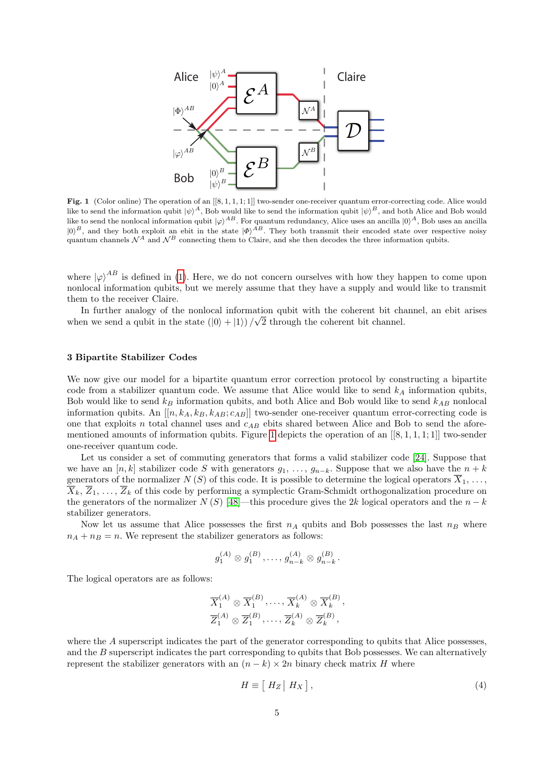

<span id="page-5-1"></span>Fig. 1 (Color online) The operation of an  $[[8,1,1,1,1]]$  two-sender one-receiver quantum error-correcting code. Alice would like to send the information qubit  $|\psi\rangle^A$ , Bob would like to send the information qubit  $|\psi\rangle^B$ , and both Alice and Bob would like to send the nonlocal information qubit  $|\varphi\rangle^{AB}$ . For quantum redundancy, Alice uses an ancilla  $|0\rangle^A$ , Bob uses an ancilla  $|0\rangle^B$ , and they both exploit an ebit in the state  $|\Phi\rangle^{AB}$ . They both transmit their encoded state over respective noisy quantum channels  $\mathcal{N}^A$  and  $\mathcal{N}^B$  connecting them to Claire, and she then decodes the three information qubits.

where  $|\varphi\rangle^{AB}$  is defined in [\(1\)](#page-2-1). Here, we do not concern ourselves with how they happen to come upon nonlocal information qubits, but we merely assume that they have a supply and would like to transmit them to the receiver Claire.

In further analogy of the nonlocal information qubit with the coherent bit channel, an ebit arises when we send a qubit in the state  $(|0\rangle + |1\rangle)/\sqrt{2}$  through the coherent bit channel.

### <span id="page-5-0"></span>3 Bipartite Stabilizer Codes

We now give our model for a bipartite quantum error correction protocol by constructing a bipartite code from a stabilizer quantum code. We assume that Alice would like to send  $k_A$  information qubits, Bob would like to send  $k_B$  information qubits, and both Alice and Bob would like to send  $k_{AB}$  nonlocal information qubits. An  $[[n, k_A, k_B, k_{AB}; c_{AB}]]$  two-sender one-receiver quantum error-correcting code is one that exploits n total channel uses and  $c_{AB}$  ebits shared between Alice and Bob to send the afore-mentioned amounts of information qubits. Figure [1](#page-5-1) depicts the operation of an  $[[8, 1, 1, 1, 1]]$  two-sender one-receiver quantum code.

Let us consider a set of commuting generators that forms a valid stabilizer code [\[24\]](#page-13-0). Suppose that we have an [n, k] stabilizer code S with generators  $g_1, \ldots, g_{n-k}$ . Suppose that we also have the  $n + k$ generators of the normalizer  $N(S)$  of this code. It is possible to determine the logical operators  $\overline{X}_1, \ldots$ ,  $\overline{X}_k, \overline{Z}_1, \ldots, \overline{Z}_k$  of this code by performing a symplectic Gram-Schmidt orthogonalization procedure on the generators of the normalizer  $N(S)$  [\[48\]](#page-14-17)—this procedure gives the 2k logical operators and the  $n - k$ stabilizer generators.

Now let us assume that Alice possesses the first  $n_A$  qubits and Bob possesses the last  $n_B$  where  $n_A + n_B = n$ . We represent the stabilizer generators as follows:

$$
g_1^{(A)} \otimes g_1^{(B)}, \ldots, g_{n-k}^{(A)} \otimes g_{n-k}^{(B)}.
$$

The logical operators are as follows:

$$
\overline{X}_1^{(A)} \otimes \overline{X}_1^{(B)}, \dots, \overline{X}_k^{(A)} \otimes \overline{X}_k^{(B)},
$$
  

$$
\overline{Z}_1^{(A)} \otimes \overline{Z}_1^{(B)}, \dots, \overline{Z}_k^{(A)} \otimes \overline{Z}_k^{(B)},
$$

where the A superscript indicates the part of the generator corresponding to qubits that Alice possesses, and the B superscript indicates the part corresponding to qubits that Bob possesses. We can alternatively represent the stabilizer generators with an  $(n - k) \times 2n$  binary check matrix H where

$$
H \equiv [ H_Z | H_X ], \tag{4}
$$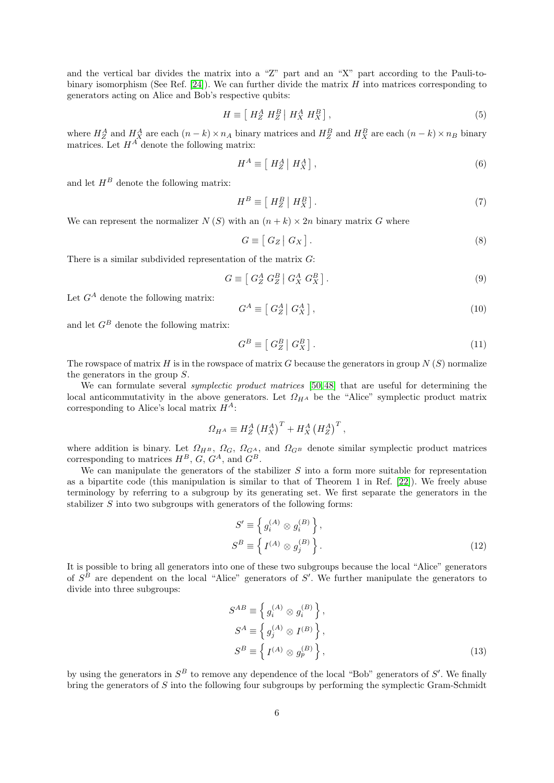and the vertical bar divides the matrix into a "Z" part and an "X" part according to the Pauli-to-binary isomorphism (See Ref. [\[24\]](#page-13-0)). We can further divide the matrix  $H$  into matrices corresponding to generators acting on Alice and Bob's respective qubits:

$$
H \equiv \left[ H_Z^A H_Z^B \mid H_X^A H_X^B \right],\tag{5}
$$

where  $H_Z^A$  and  $H_X^A$  are each  $(n-k) \times n_A$  binary matrices and  $H_Z^B$  and  $H_X^B$  are each  $(n-k) \times n_B$  binary matrices. Let  $H^A$  denote the following matrix:

$$
H^A \equiv \left[ \ H_Z^A \, \middle| \, H_X^A \right],\tag{6}
$$

and let  $H^B$  denote the following matrix:

$$
H^B \equiv \left[ \ H_Z^B \, \middle| \, H_X^B \right]. \tag{7}
$$

We can represent the normalizer  $N(S)$  with an  $(n + k) \times 2n$  binary matrix G where

$$
G \equiv [ G_Z | G_X ]. \tag{8}
$$

There is a similar subdivided representation of the matrix  $G$ :

$$
G \equiv \left[ \begin{array}{c} G_Z^A \ G_Z^B \end{array} \right] G_X^A \ G_X^B \right]. \tag{9}
$$

Let  $G^A$  denote the following matrix:

$$
G^A \equiv \left[ \left. G_Z^A \right| G_X^A \right],\tag{10}
$$

and let  $G^B$  denote the following matrix:

$$
G^B \equiv \left[ \begin{array}{c} G_Z^B \end{array} \right] G_X^B \, . \tag{11}
$$

The rowspace of matrix  $H$  is in the rowspace of matrix  $G$  because the generators in group  $N(S)$  normalize the generators in the group S.

We can formulate several *symplectic product matrices* [\[50,](#page-14-16)48] that are useful for determining the local anticommutativity in the above generators. Let  $\Omega_{H}$  be the "Alice" symplectic product matrix corresponding to Alice's local matrix  $H^A$ :

$$
\Omega_{H^A} \equiv H_Z^A \left(H_X^A\right)^T + H_X^A \left(H_Z^A\right)^T,
$$

where addition is binary. Let  $\Omega_{H^B}$ ,  $\Omega_G$ ,  $\Omega_{G^A}$ , and  $\Omega_{G^B}$  denote similar symplectic product matrices corresponding to matrices  $H^B$ ,  $G$ ,  $G^A$ , and  $G^B$ .

We can manipulate the generators of the stabilizer  $S$  into a form more suitable for representation as a bipartite code (this manipulation is similar to that of Theorem 1 in Ref. [\[22\]](#page-13-15)). We freely abuse terminology by referring to a subgroup by its generating set. We first separate the generators in the stabilizer S into two subgroups with generators of the following forms:

<span id="page-6-0"></span>
$$
S' \equiv \left\{ g_i^{(A)} \otimes g_i^{(B)} \right\},
$$
  
\n
$$
S^B \equiv \left\{ I^{(A)} \otimes g_j^{(B)} \right\}.
$$
\n(12)

It is possible to bring all generators into one of these two subgroups because the local "Alice" generators of  $S^B$  are dependent on the local "Alice" generators of S'. We further manipulate the generators to divide into three subgroups:

<span id="page-6-1"></span>
$$
S^{AB} \equiv \left\{ g_i^{(A)} \otimes g_i^{(B)} \right\},
$$
  
\n
$$
S^A \equiv \left\{ g_j^{(A)} \otimes I^{(B)} \right\},
$$
  
\n
$$
S^B \equiv \left\{ I^{(A)} \otimes g_p^{(B)} \right\},
$$
\n(13)

by using the generators in  $S^B$  to remove any dependence of the local "Bob" generators of S'. We finally bring the generators of S into the following four subgroups by performing the symplectic Gram-Schmidt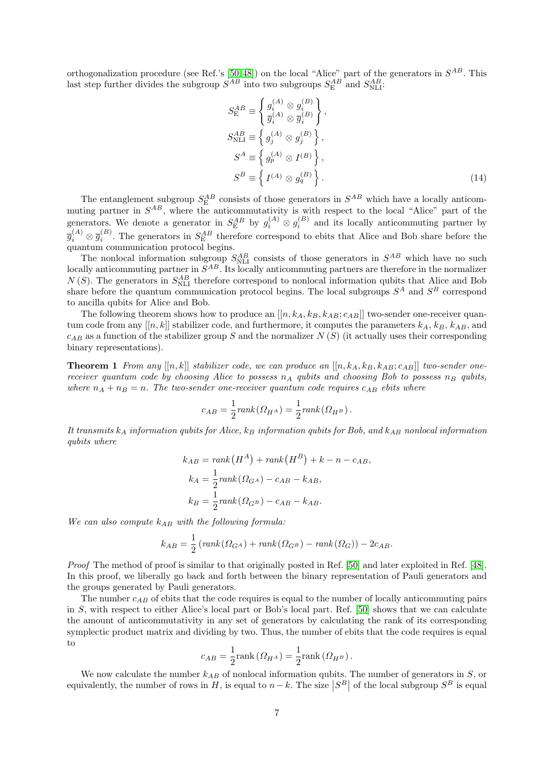orthogonalization procedure (see Ref.'s [\[50,](#page-14-16)48]) on the local "Alice" part of the generators in  $S^{AB}$ . This last step further divides the subgroup  $S^{AB}$  into two subgroups  $S^{AB}_{\text{E}}$  and  $S^{AB}_{\text{NLI}}$ .

<span id="page-7-0"></span>
$$
S_{\rm E}^{AB} \equiv \begin{cases} g_i^{(A)} \otimes g_i^{(B)} \\ \overline{g}_i^{(A)} \otimes \overline{g}_i^{(B)} \end{cases},
$$
  
\n
$$
S_{\rm NLI}^{AB} \equiv \begin{cases} g_j^{(A)} \otimes g_j^{(B)} \end{cases},
$$
  
\n
$$
S^A \equiv \begin{cases} g_p^{(A)} \otimes I^{(B)} \end{cases},
$$
  
\n
$$
S^B \equiv \begin{cases} I^{(A)} \otimes g_q^{(B)} \end{cases}.
$$
\n(14)

The entanglement subgroup  $S_{\rm E}^{AB}$  consists of those generators in  $S^{AB}$  which have a locally anticommuting partner in  $S^{AB}$ , where the anticommutativity is with respect to the local "Alice" part of the generators. We denote a generator in  $S_{\rm E}^{AB}$  by  $g_i^{(A)} \otimes g_i^{(B)}$  and its locally anticommuting partner by  $\overline{g}_i^{(A)} \otimes \overline{g}_i^{(B)}$ . The generators in  $S_E^{AB}$  therefore correspond to ebits that Alice and Bob share before the quantum communication protocol begins.

The nonlocal information subgroup  $S_{\text{NL}}^{AB}$  consists of those generators in  $S^{AB}$  which have no such locally anticommuting partner in  $S^{AB}$ . Its locally anticommuting partners are therefore in the normalizer N (S). The generators in  $S_{\text{NLI}}^{AB}$  therefore correspond to nonlocal information qubits that Alice and Bob share before the quantum communication protocol begins. The local subgroups  $S^A$  and  $S^B$  correspond to ancilla qubits for Alice and Bob.

The following theorem shows how to produce an  $[[n, k_A, k_B, k_{AB}; c_{AB}]]$  two-sender one-receiver quantum code from any  $[[n, k]]$  stabilizer code, and furthermore, it computes the parameters  $k_A$ ,  $k_B$ ,  $k_{AB}$ , and  $c_{AB}$  as a function of the stabilizer group S and the normalizer N (S) (it actually uses their corresponding binary representations).

<span id="page-7-1"></span>**Theorem 1** From any  $[[n,k]]$  stabilizer code, we can produce an  $[[n,k_A, k_B, k_{AB}; c_{AB}]]$  two-sender onereceiver quantum code by choosing Alice to possess  $n_A$  qubits and choosing Bob to possess  $n_B$  qubits, where  $n_A + n_B = n$ . The two-sender one-receiver quantum code requires  $c_{AB}$  ebits where

$$
c_{AB} = \frac{1}{2} rank(\Omega_{H^A}) = \frac{1}{2} rank(\Omega_{H^B}).
$$

It transmits  $k_A$  information qubits for Alice,  $k_B$  information qubits for Bob, and  $k_{AB}$  nonlocal information qubits where

$$
k_{AB} = rank(H^{A}) + rank(H^{B}) + k - n - c_{AB},
$$
  
\n
$$
k_{A} = \frac{1}{2} rank(\Omega_{G^{A}}) - c_{AB} - k_{AB},
$$
  
\n
$$
k_{B} = \frac{1}{2} rank(\Omega_{G^{B}}) - c_{AB} - k_{AB}.
$$

We can also compute  $k_{AB}$  with the following formula:

$$
k_{AB} = \frac{1}{2} \left( rank(\Omega_{G^A}) + rank(\Omega_{G^B}) - rank(\Omega_G) \right) - 2c_{AB}.
$$

Proof The method of proof is similar to that originally posted in Ref. [\[50\]](#page-14-16) and later exploited in Ref. [\[48\]](#page-14-17). In this proof, we liberally go back and forth between the binary representation of Pauli generators and the groups generated by Pauli generators.

The number  $c_{AB}$  of ebits that the code requires is equal to the number of locally anticommuting pairs in S, with respect to either Alice's local part or Bob's local part. Ref. [\[50\]](#page-14-16) shows that we can calculate the amount of anticommutativity in any set of generators by calculating the rank of its corresponding symplectic product matrix and dividing by two. Thus, the number of ebits that the code requires is equal to

$$
c_{AB}=\frac{1}{2}\text{rank}\left(\varOmega_{H^A}\right)=\frac{1}{2}\text{rank}\left(\varOmega_{H^B}\right).
$$

We now calculate the number  $k_{AB}$  of nonlocal information qubits. The number of generators in  $S$ , or equivalently, the number of rows in  $H$ , is equal to  $n-k$ . The size  $|S^B|$  of the local subgroup  $S^B$  is equal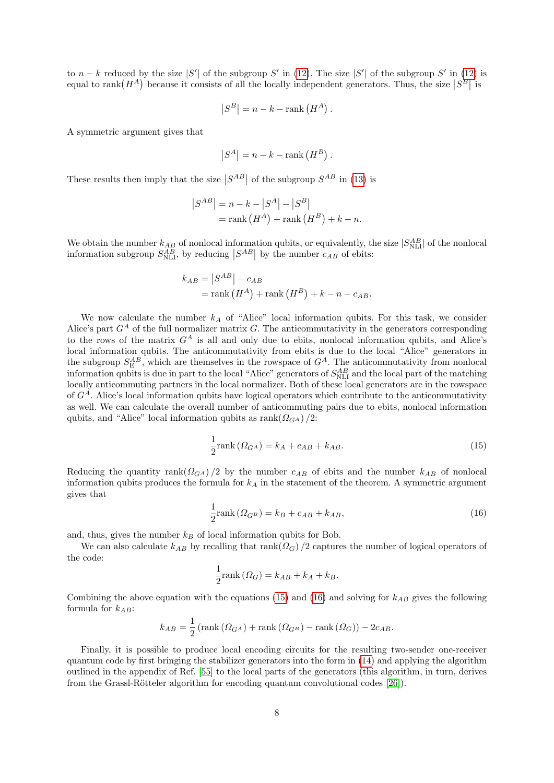to  $n - k$  reduced by the size |S'| of the subgroup S' in [\(12\)](#page-6-0). The size |S'| of the subgroup S' in (12) is equal to  $\text{rank}(H^A)$  because it consists of all the locally independent generators. Thus, the size  $|S^B|$  is

$$
|S^B| = n - k - \text{rank}(H^A).
$$

A symmetric argument gives that

$$
|S^A| = n - k - \text{rank}(H^B).
$$

These results then imply that the size  $|S^{AB}|$  of the subgroup  $S^{AB}$  in [\(13\)](#page-6-1) is

$$
\begin{aligned} \left| S^{AB} \right| &= n - k - \left| S^A \right| - \left| S^B \right| \\ &= \text{rank} \left( H^A \right) + \text{rank} \left( H^B \right) + k - n. \end{aligned}
$$

We obtain the number  $k_{AB}$  of nonlocal information qubits, or equivalently, the size  $|S_{\text{NLI}}^{AB}|$  of the nonlocal information subgroup  $S_{\text{NLI}}^{AB}$ , by reducing  $|S^{AB}|$  by the number  $c_{AB}$  of ebits:

$$
k_{AB} = |S^{AB}| - c_{AB}
$$
  
= rank  $(H^A)$  + rank  $(H^B)$  +  $k - n - c_{AB}$ .

We now calculate the number  $k_A$  of "Alice" local information qubits. For this task, we consider Alice's part  $G<sup>A</sup>$  of the full normalizer matrix G. The anticommutativity in the generators corresponding to the rows of the matrix  $G^A$  is all and only due to ebits, nonlocal information qubits, and Alice's local information qubits. The anticommutativity from ebits is due to the local "Alice" generators in the subgroup  $S_{\rm E}^{AB}$ , which are themselves in the rowspace of  $G^A$ . The anticommutativity from nonlocal information qubits is due in part to the local "Alice" generators of  $S_{\text{NLI}}^{AB}$  and the local part of the matching locally anticommuting partners in the local normalizer. Both of these local generators are in the rowspace of  $G<sup>A</sup>$ . Alice's local information qubits have logical operators which contribute to the anticommutativity as well. We can calculate the overall number of anticommuting pairs due to ebits, nonlocal information qubits, and "Alice" local information qubits as  $\operatorname{rank}(\Omega_{G^A})/2$ :

<span id="page-8-0"></span>
$$
\frac{1}{2}\text{rank}\left(\Omega_{G^A}\right) = k_A + c_{AB} + k_{AB}.\tag{15}
$$

Reducing the quantity rank $\left(\Omega_{G^A}\right)/2$  by the number  $c_{AB}$  of ebits and the number  $k_{AB}$  of nonlocal information qubits produces the formula for  $k_A$  in the statement of the theorem. A symmetric argument gives that

<span id="page-8-1"></span>
$$
\frac{1}{2}\text{rank}\left(\Omega_{G^B}\right) = k_B + c_{AB} + k_{AB},\tag{16}
$$

and, thus, gives the number  $k_B$  of local information qubits for Bob.

We can also calculate  $k_{AB}$  by recalling that rank( $\Omega$ <sub>G</sub>) /2 captures the number of logical operators of the code:

$$
\frac{1}{2}\text{rank}\left(\Omega_{G}\right) = k_{AB} + k_{A} + k_{B}.
$$

Combining the above equation with the equations [\(15\)](#page-8-0) and [\(16\)](#page-8-1) and solving for  $k_{AB}$  gives the following formula for  $k_{AB}$ :

$$
k_{AB} = \frac{1}{2} \left( \text{rank} \left( \Omega_{G^A} \right) + \text{rank} \left( \Omega_{G^B} \right) - \text{rank} \left( \Omega_G \right) \right) - 2c_{AB}.
$$

Finally, it is possible to produce local encoding circuits for the resulting two-sender one-receiver quantum code by first bringing the stabilizer generators into the form in [\(14\)](#page-7-0) and applying the algorithm outlined in the appendix of Ref. [\[55\]](#page-14-25) to the local parts of the generators (this algorithm, in turn, derives from the Grassl-Rötteler algorithm for encoding quantum convolutional codes  $[26]$ .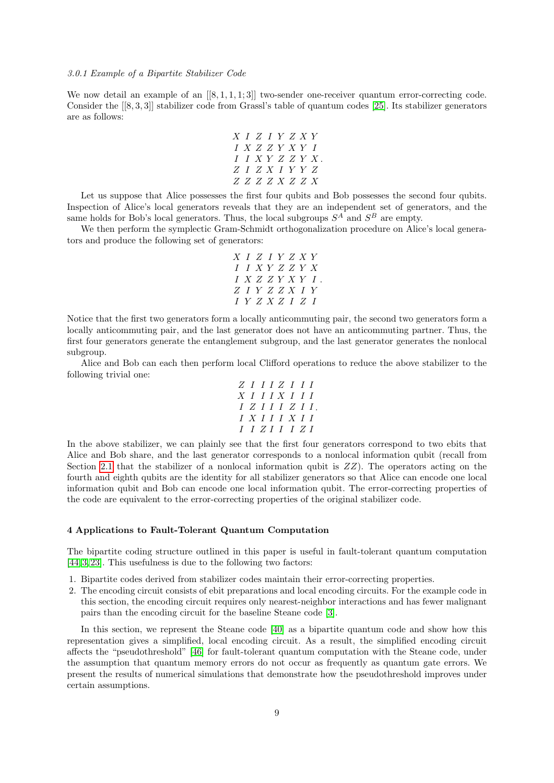## 3.0.1 Example of a Bipartite Stabilizer Code

We now detail an example of an  $[[8,1,1,1;3]]$  two-sender one-receiver quantum error-correcting code. Consider the [[8, 3, 3]] stabilizer code from Grassl's table of quantum codes [\[25\]](#page-14-27). Its stabilizer generators are as follows:

X I Z I Y Z X Y I X Z Z Y X Y I I I X Y Z Z Y X Z I Z X I Y Y Z Z Z Z Z X Z Z X .

Let us suppose that Alice possesses the first four qubits and Bob possesses the second four qubits. Inspection of Alice's local generators reveals that they are an independent set of generators, and the same holds for Bob's local generators. Thus, the local subgroups  $S^A$  and  $S^B$  are empty.

We then perform the symplectic Gram-Schmidt orthogonalization procedure on Alice's local generators and produce the following set of generators:

$$
\begin{array}{c}X \; \; I \; \; Z \; \; I \; \; Y \; \; Z \; \; X \; \; Y \\ I \; \; I \; \; X \; Y \; \; Z \; \; Z \; \; Y \; \; X \\ I \; \; X \; \; Z \; \; Z \; \; Y \; \; X \; \; Y \; \; I \\ Z \; \; I \; \; Y \; \; Z \; \; Z \; \; X \; \; I \; \; Y \\ I \; \; Y \; \; Z \; \; X \; \; Z \; \; I \; \; Z \; \; I \end{array}
$$

Notice that the first two generators form a locally anticommuting pair, the second two generators form a locally anticommuting pair, and the last generator does not have an anticommuting partner. Thus, the first four generators generate the entanglement subgroup, and the last generator generates the nonlocal subgroup.

Alice and Bob can each then perform local Clifford operations to reduce the above stabilizer to the following trivial one:

$$
\begin{array}{c c c c c c c c c c} & Z & I & I & I & Z & I & I & I\\ X & I & I & I & X & I & I & I\\ I & Z & I & I & I & Z & I & I\\ I & X & I & I & I & X & I & I\\ I & I & Z & I & I & I & Z & I\\ \end{array}
$$

In the above stabilizer, we can plainly see that the first four generators correspond to two ebits that Alice and Bob share, and the last generator corresponds to a nonlocal information qubit (recall from Section [2.1](#page-2-2) that the stabilizer of a nonlocal information qubit is  $ZZ$ ). The operators acting on the fourth and eighth qubits are the identity for all stabilizer generators so that Alice can encode one local information qubit and Bob can encode one local information qubit. The error-correcting properties of the code are equivalent to the error-correcting properties of the original stabilizer code.

### 4 Applications to Fault-Tolerant Quantum Computation

The bipartite coding structure outlined in this paper is useful in fault-tolerant quantum computation [\[44,](#page-14-13) [3,](#page-13-14) [23\]](#page-13-2). This usefulness is due to the following two factors:

- 1. Bipartite codes derived from stabilizer codes maintain their error-correcting properties.
- 2. The encoding circuit consists of ebit preparations and local encoding circuits. For the example code in this section, the encoding circuit requires only nearest-neighbor interactions and has fewer malignant pairs than the encoding circuit for the baseline Steane code [\[3\]](#page-13-14).

In this section, we represent the Steane code [\[40\]](#page-14-15) as a bipartite quantum code and show how this representation gives a simplified, local encoding circuit. As a result, the simplified encoding circuit affects the "pseudothreshold" [\[46\]](#page-14-28) for fault-tolerant quantum computation with the Steane code, under the assumption that quantum memory errors do not occur as frequently as quantum gate errors. We present the results of numerical simulations that demonstrate how the pseudothreshold improves under certain assumptions.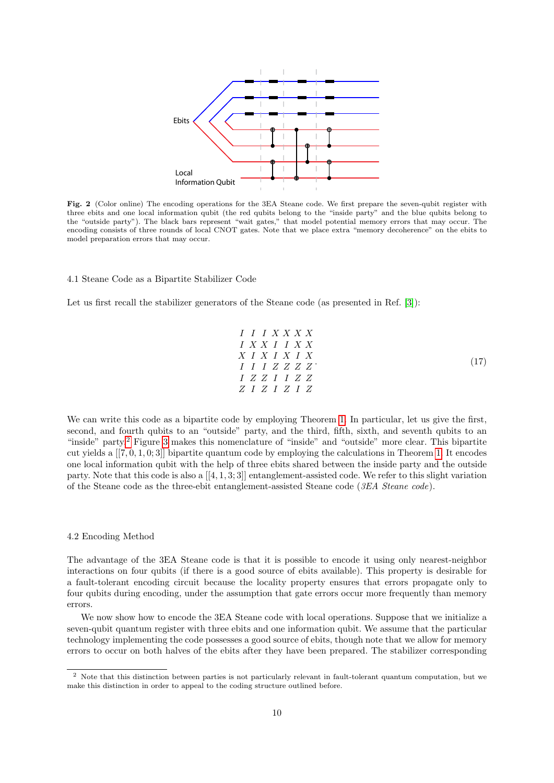

<span id="page-10-2"></span>Fig. 2 (Color online) The encoding operations for the 3EA Steane code. We first prepare the seven-qubit register with three ebits and one local information qubit (the red qubits belong to the "inside party" and the blue qubits belong to the "outside party"). The black bars represent "wait gates," that model potential memory errors that may occur. The encoding consists of three rounds of local CNOT gates. Note that we place extra "memory decoherence" on the ebits to model preparation errors that may occur.

### 4.1 Steane Code as a Bipartite Stabilizer Code

Let us first recall the stabilizer generators of the Steane code (as presented in Ref. [\[3\]](#page-13-14)):

<span id="page-10-1"></span>
$$
I I I X X X X X\nI X X I I X X\nX I X I X I X\nI I I Z Z Z Z\nI Z Z I I Z Z\nZ I Z I Z I Z\n
$$
\n(17)

We can write this code as a bipartite code by employing Theorem [1.](#page-7-1) In particular, let us give the first, second, and fourth qubits to an "outside" party, and the third, fifth, sixth, and seventh qubits to an "inside" party.[2](#page-10-0) Figure [3](#page-11-0) makes this nomenclature of "inside" and "outside" more clear. This bipartite cut yields a  $[[7, 0, 1, 0, 3]]$  bipartite quantum code by employing the calculations in Theorem [1.](#page-7-1) It encodes one local information qubit with the help of three ebits shared between the inside party and the outside party. Note that this code is also a  $[[4, 1, 3; 3]]$  entanglement-assisted code. We refer to this slight variation of the Steane code as the three-ebit entanglement-assisted Steane code (3EA Steane code).

#### 4.2 Encoding Method

The advantage of the 3EA Steane code is that it is possible to encode it using only nearest-neighbor interactions on four qubits (if there is a good source of ebits available). This property is desirable for a fault-tolerant encoding circuit because the locality property ensures that errors propagate only to four qubits during encoding, under the assumption that gate errors occur more frequently than memory errors.

We now show how to encode the 3EA Steane code with local operations. Suppose that we initialize a seven-qubit quantum register with three ebits and one information qubit. We assume that the particular technology implementing the code possesses a good source of ebits, though note that we allow for memory errors to occur on both halves of the ebits after they have been prepared. The stabilizer corresponding

<span id="page-10-0"></span><sup>&</sup>lt;sup>2</sup> Note that this distinction between parties is not particularly relevant in fault-tolerant quantum computation, but we make this distinction in order to appeal to the coding structure outlined before.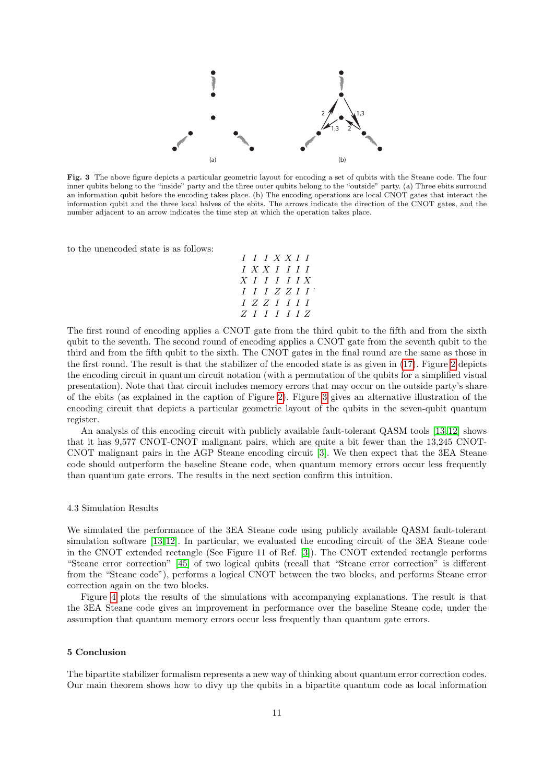

<span id="page-11-0"></span>Fig. 3 The above figure depicts a particular geometric layout for encoding a set of qubits with the Steane code. The four inner qubits belong to the "inside" party and the three outer qubits belong to the "outside" party. (a) Three ebits surround an information qubit before the encoding takes place. (b) The encoding operations are local CNOT gates that interact the information qubit and the three local halves of the ebits. The arrows indicate the direction of the CNOT gates, and the number adjacent to an arrow indicates the time step at which the operation takes place.

to the unencoded state is as follows:

$$
\begin{array}{c}I\;\;I\;\;I\;\;X\;X\;I\;\;I\;\;I\;\;I\\ X\;\;I\;\;I\;\;I\;\;I\;\;I\;\;I\\ X\;\;I\;\;I\;\;I\;\;I\;\;I\;\;X\\ I\;\;I\;\;I\;\;Z\;\;Z\;\;I\;\;I\;\;I\\ Z\;\;I\;\;I\;\;I\;\;I\;\;I\;\;Z\;\;I\;\;I\;\;I\;\;I\;\;Z\end{array}
$$

The first round of encoding applies a CNOT gate from the third qubit to the fifth and from the sixth qubit to the seventh. The second round of encoding applies a CNOT gate from the seventh qubit to the third and from the fifth qubit to the sixth. The CNOT gates in the final round are the same as those in the first round. The result is that the stabilizer of the encoded state is as given in [\(17\)](#page-10-1). Figure [2](#page-10-2) depicts the encoding circuit in quantum circuit notation (with a permutation of the qubits for a simplified visual presentation). Note that that circuit includes memory errors that may occur on the outside party's share of the ebits (as explained in the caption of Figure [2\)](#page-10-2). Figure [3](#page-11-0) gives an alternative illustration of the encoding circuit that depicts a particular geometric layout of the qubits in the seven-qubit quantum register.

An analysis of this encoding circuit with publicly available fault-tolerant QASM tools [\[13,](#page-13-18) [12\]](#page-13-19) shows that it has 9,577 CNOT-CNOT malignant pairs, which are quite a bit fewer than the 13,245 CNOT-CNOT malignant pairs in the AGP Steane encoding circuit [\[3\]](#page-13-14). We then expect that the 3EA Steane code should outperform the baseline Steane code, when quantum memory errors occur less frequently than quantum gate errors. The results in the next section confirm this intuition.

#### 4.3 Simulation Results

We simulated the performance of the 3EA Steane code using publicly available QASM fault-tolerant simulation software [\[13,](#page-13-18) [12\]](#page-13-19). In particular, we evaluated the encoding circuit of the 3EA Steane code in the CNOT extended rectangle (See Figure 11 of Ref. [\[3\]](#page-13-14)). The CNOT extended rectangle performs "Steane error correction" [\[45\]](#page-14-29) of two logical qubits (recall that "Steane error correction" is different from the "Steane code"), performs a logical CNOT between the two blocks, and performs Steane error correction again on the two blocks.

Figure [4](#page-12-0) plots the results of the simulations with accompanying explanations. The result is that the 3EA Steane code gives an improvement in performance over the baseline Steane code, under the assumption that quantum memory errors occur less frequently than quantum gate errors.

#### 5 Conclusion

The bipartite stabilizer formalism represents a new way of thinking about quantum error correction codes. Our main theorem shows how to divy up the qubits in a bipartite quantum code as local information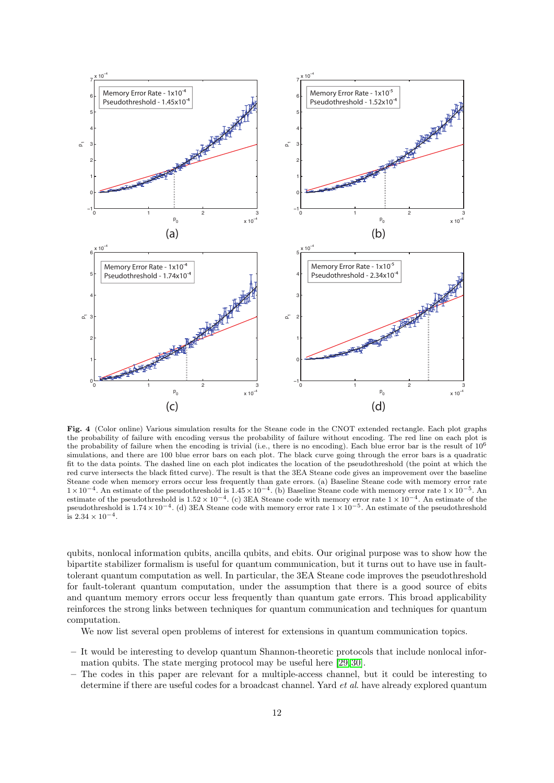

<span id="page-12-0"></span>Fig. 4 (Color online) Various simulation results for the Steane code in the CNOT extended rectangle. Each plot graphs the probability of failure with encoding versus the probability of failure without encoding. The red line on each plot is the probability of failure when the encoding is trivial (i.e., there is no encoding). Each blue error bar is the result of  $10^6$ simulations, and there are 100 blue error bars on each plot. The black curve going through the error bars is a quadratic fit to the data points. The dashed line on each plot indicates the location of the pseudothreshold (the point at which the red curve intersects the black fitted curve). The result is that the 3EA Steane code gives an improvement over the baseline Steane code when memory errors occur less frequently than gate errors. (a) Baseline Steane code with memory error rate  $1\times10^{-4}$ . An estimate of the pseudothreshold is  $1.45\times10^{-4}$ . (b) Baseline Steane code with memory error rate  $1\times10^{-5}$ . An estimate of the pseudothreshold is  $1.52 \times 10^{-4}$ . (c) 3EA Steane code with memory error rate  $1 \times 10^{-4}$ . An estimate of the pseudothreshold is  $1.74 \times 10^{-4}$ . (d) 3EA Steane code with memory error rate  $1 \times 10^{-5}$ . An estimate of the pseudothreshold is  $2.34 \times 10^{-4}$ .

qubits, nonlocal information qubits, ancilla qubits, and ebits. Our original purpose was to show how the bipartite stabilizer formalism is useful for quantum communication, but it turns out to have use in faulttolerant quantum computation as well. In particular, the 3EA Steane code improves the pseudothreshold for fault-tolerant quantum computation, under the assumption that there is a good source of ebits and quantum memory errors occur less frequently than quantum gate errors. This broad applicability reinforces the strong links between techniques for quantum communication and techniques for quantum computation.

We now list several open problems of interest for extensions in quantum communication topics.

- It would be interesting to develop quantum Shannon-theoretic protocols that include nonlocal information qubits. The state merging protocol may be useful here [\[29,](#page-14-30) [30\]](#page-14-31).
- The codes in this paper are relevant for a multiple-access channel, but it could be interesting to determine if there are useful codes for a broadcast channel. Yard *et al.* have already explored quantum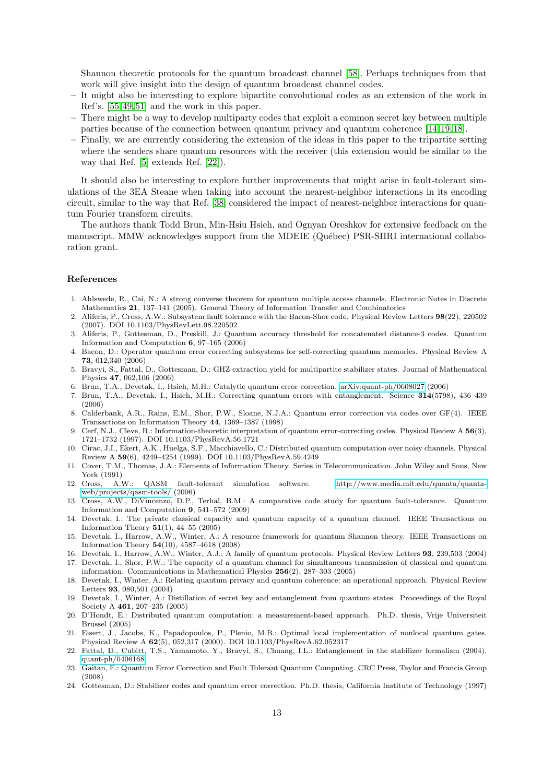Shannon theoretic protocols for the quantum broadcast channel [\[58\]](#page-14-32). Perhaps techniques from that work will give insight into the design of quantum broadcast channel codes.

- It might also be interesting to explore bipartite convolutional codes as an extension of the work in Ref's. [\[55,](#page-14-25) [49,](#page-14-33) [51\]](#page-14-34) and the work in this paper.
- There might be a way to develop multiparty codes that exploit a common secret key between multiple parties because of the connection between quantum privacy and quantum coherence [\[14,](#page-13-20) [19,](#page-13-21) [18\]](#page-13-22).
- Finally, we are currently considering the extension of the ideas in this paper to the tripartite setting where the senders share quantum resources with the receiver (this extension would be similar to the way that Ref. [\[5\]](#page-13-23) extends Ref. [\[22\]](#page-13-15)).

It should also be interesting to explore further improvements that might arise in fault-tolerant simulations of the 3EA Steane when taking into account the nearest-neighbor interactions in its encoding circuit, similar to the way that Ref. [\[38\]](#page-14-35) considered the impact of nearest-neighbor interactions for quantum Fourier transform circuits.

The authors thank Todd Brun, Min-Hsiu Hsieh, and Ognyan Oreshkov for extensive feedback on the manuscript. MMW acknowledges support from the MDEIE (Québec) PSR-SIIRI international collaboration grant.

#### References

- <span id="page-13-16"></span>1. Ahlswede, R., Cai, N.: A strong converse theorem for quantum multiple access channels. Electronic Notes in Discrete Mathematics 21, 137–141 (2005). General Theory of Information Transfer and Combinatorics
- <span id="page-13-5"></span>2. Aliferis, P., Cross, A.W.: Subsystem fault tolerance with the Bacon-Shor code. Physical Review Letters 98(22), 220502 (2007). DOI 10.1103/PhysRevLett.98.220502
- <span id="page-13-14"></span>3. Aliferis, P., Gottesman, D., Preskill, J.: Quantum accuracy threshold for concatenated distance-3 codes. Quantum Information and Computation 6, 97–165 (2006)
- <span id="page-13-4"></span>4. Bacon, D.: Operator quantum error correcting subsystems for self-correcting quantum memories. Physical Review A 73, 012,340 (2006)
- <span id="page-13-23"></span>5. Bravyi, S., Fattal, D., Gottesman, D.: GHZ extraction yield for multipartite stabilizer states. Journal of Mathematical Physics 47, 062,106 (2006)
- <span id="page-13-7"></span>6. Brun, T.A., Devetak, I., Hsieh, M.H.: Catalytic quantum error correction. [arXiv:quant-ph/0608027](http://arxiv.org/abs/quant-ph/0608027) (2006)
- <span id="page-13-6"></span>7. Brun, T.A., Devetak, I., Hsieh, M.H.: Correcting quantum errors with entanglement. Science 314(5798), 436–439 (2006)
- <span id="page-13-1"></span>8. Calderbank, A.R., Rains, E.M., Shor, P.W., Sloane, N.J.A.: Quantum error correction via codes over GF(4). IEEE Transactions on Information Theory 44, 1369–1387 (1998)
- <span id="page-13-3"></span>9. Cerf, N.J., Cleve, R.: Information-theoretic interpretation of quantum error-correcting codes. Physical Review A 56(3), 1721–1732 (1997). DOI 10.1103/PhysRevA.56.1721
- <span id="page-13-11"></span>10. Cirac, J.I., Ekert, A.K., Huelga, S.F., Macchiavello, C.: Distributed quantum computation over noisy channels. Physical Review A 59(6), 4249–4254 (1999). DOI 10.1103/PhysRevA.59.4249
- <span id="page-13-17"></span>11. Cover, T.M., Thomas, J.A.: Elements of Information Theory. Series in Telecommunication. John Wiley and Sons, New York (1991)
- <span id="page-13-19"></span>12. Cross, A.W.: QASM fault-tolerant simulation software. [http://www.media.mit.edu/quanta/quanta](http://www.media.mit.edu/quanta/quanta-web/projects/qasm-tools/)[web/projects/qasm-tools/](http://www.media.mit.edu/quanta/quanta-web/projects/qasm-tools/) (2006)
- <span id="page-13-18"></span>13. Cross, A.W., DiVincenzo, D.P., Terhal, B.M.: A comparative code study for quantum fault-tolerance. Quantum Information and Computation 9, 541–572 (2009)
- <span id="page-13-20"></span>14. Devetak, I.: The private classical capacity and quantum capacity of a quantum channel. IEEE Transactions on Information Theory  $51(1)$ , 44–55 (2005)
- <span id="page-13-9"></span>15. Devetak, I., Harrow, A.W., Winter, A.: A resource framework for quantum Shannon theory. IEEE Transactions on Information Theory 54(10), 4587–4618 (2008)
- <span id="page-13-8"></span>16. Devetak, I., Harrow, A.W., Winter, A.J.: A family of quantum protocols. Physical Review Letters 93, 239,503 (2004)
- <span id="page-13-10"></span>17. Devetak, I., Shor, P.W.: The capacity of a quantum channel for simultaneous transmission of classical and quantum information. Communications in Mathematical Physics 256(2), 287–303 (2005)
- <span id="page-13-22"></span>18. Devetak, I., Winter, A.: Relating quantum privacy and quantum coherence: an operational approach. Physical Review Letters 93, 080,501 (2004)
- <span id="page-13-21"></span>19. Devetak, I., Winter, A.: Distillation of secret key and entanglement from quantum states. Proceedings of the Royal Society A 461, 207–235 (2005)
- <span id="page-13-13"></span>20. D'Hondt, E.: Distributed quantum computation: a measurement-based approach. Ph.D. thesis, Vrije Universiteit Brussel (2005)
- <span id="page-13-12"></span>21. Eisert, J., Jacobs, K., Papadopoulos, P., Plenio, M.B.: Optimal local implementation of nonlocal quantum gates. Physical Review A 62(5), 052,317 (2000). DOI 10.1103/PhysRevA.62.052317
- <span id="page-13-15"></span>22. Fattal, D., Cubitt, T.S., Yamamoto, Y., Bravyi, S., Chuang, I.L.: Entanglement in the stabilizer formalism (2004). [quant-ph/0406168](http://arxiv.org/abs/quant-ph/0406168)
- <span id="page-13-2"></span>23. Gaitan, F.: Quantum Error Correction and Fault Tolerant Quantum Computing. CRC Press, Taylor and Francis Group (2008)
- <span id="page-13-0"></span>24. Gottesman, D.: Stabilizer codes and quantum error correction. Ph.D. thesis, California Institute of Technology (1997)